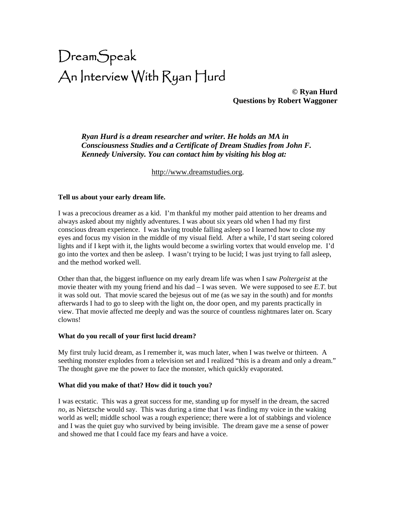# DreamSpeak An Interview With Ryan Hurd

**© Ryan Hurd Questions by Robert Waggoner** 

*Ryan Hurd is a dream researcher and writer. He holds an MA in Consciousness Studies and a Certificate of Dream Studies from John F. Kennedy University. You can contact him by visiting his blog at:* 

[http://www.dreamstudies.org.](http://www.dreamstudies.org/)

## **Tell us about your early dream life.**

I was a precocious dreamer as a kid. I'm thankful my mother paid attention to her dreams and always asked about my nightly adventures. I was about six years old when I had my first conscious dream experience. I was having trouble falling asleep so I learned how to close my eyes and focus my vision in the middle of my visual field. After a while, I'd start seeing colored lights and if I kept with it, the lights would become a swirling vortex that would envelop me. I'd go into the vortex and then be asleep. I wasn't trying to be lucid; I was just trying to fall asleep, and the method worked well.

Other than that, the biggest influence on my early dream life was when I saw *Poltergeist* at the movie theater with my young friend and his dad – I was seven. We were supposed to see *E.T.* but it was sold out. That movie scared the bejesus out of me (as we say in the south) and for *months* afterwards I had to go to sleep with the light on, the door open, and my parents practically in view. That movie affected me deeply and was the source of countless nightmares later on. Scary clowns!

#### **What do you recall of your first lucid dream?**

My first truly lucid dream, as I remember it, was much later, when I was twelve or thirteen. A seething monster explodes from a television set and I realized "this is a dream and only a dream." The thought gave me the power to face the monster, which quickly evaporated.

#### **What did you make of that? How did it touch you?**

I was ecstatic. This was a great success for me, standing up for myself in the dream, the sacred *no*, as Nietzsche would say. This was during a time that I was finding my voice in the waking world as well; middle school was a rough experience; there were a lot of stabbings and violence and I was the quiet guy who survived by being invisible. The dream gave me a sense of power and showed me that I could face my fears and have a voice.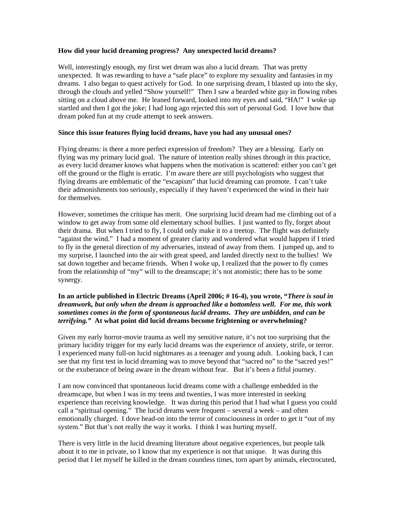## **How did your lucid dreaming progress? Any unexpected lucid dreams?**

Well, interestingly enough, my first wet dream was also a lucid dream. That was pretty unexpected.It was rewarding to have a "safe place" to explore my sexuality and fantasies in my dreams. I also began to quest actively for God. In one surprising dream, I blasted up into the sky, through the clouds and yelled "Show yourself!" Then I saw a bearded white guy in flowing robes sitting on a cloud above me. He leaned forward, looked into my eyes and said, "HA!" I woke up startled and then I got the joke; I had long ago rejected this sort of personal God. I love how that dream poked fun at my crude attempt to seek answers.

## **Since this issue features flying lucid dreams, have you had any unusual ones?**

Flying dreams: is there a more perfect expression of freedom? They are a blessing. Early on flying was my primary lucid goal. The nature of intention really shines through in this practice, as every lucid dreamer knows what happens when the motivation is scattered: either you can't get off the ground or the flight is erratic. I'm aware there are still psychologists who suggest that flying dreams are emblematic of the "escapism" that lucid dreaming can promote. I can't take their admonishments too seriously, especially if they haven't experienced the wind in their hair for themselves.

However, sometimes the critique has merit. One surprising lucid dream had me climbing out of a window to get away from some old elementary school bullies. I just wanted to fly, forget about their drama. But when I tried to fly, I could only make it to a treetop. The flight was definitely "against the wind." I had a moment of greater clarity and wondered what would happen if I tried to fly in the general direction of my adversaries, instead of away from them. I jumped up, and to my surprise, I launched into the air with great speed, and landed directly next to the bullies! We sat down together and became friends. When I woke up, I realized that the power to fly comes from the relationship of "my" will to the dreamscape; it's not atomistic; there has to be some synergy.

# **In an article published in Electric Dreams (April 2006; # 16-4), you wrote, "***There is soul in dreamwork, but only when the dream is approached like a bottomless well. For me, this work sometimes comes in the form of spontaneous lucid dreams. They are unbidden, and can be terrifying."* **At what point did lucid dreams become frightening or overwhelming?**

Given my early horror-movie trauma as well my sensitive nature, it's not too surprising that the primary lucidity trigger for my early lucid dreams was the experience of anxiety, strife, or terror. I experienced many full-on lucid nightmares as a teenager and young adult. Looking back, I can see that my first test in lucid dreaming was to move beyond that "sacred no" to the "sacred yes!" or the exuberance of being aware in the dream without fear. But it's been a fitful journey.

I am now convinced that spontaneous lucid dreams come with a challenge embedded in the dreamscape, but when I was in my teens and twenties, I was more interested in seeking experience than receiving knowledge. It was during this period that I had what I guess you could call a "spiritual opening." The lucid dreams were frequent – several a week – and often emotionally charged. I dove head-on into the terror of consciousness in order to get it "out of my system." But that's not really the way it works. I think I was hurting myself.

There is very little in the lucid dreaming literature about negative experiences, but people talk about it to me in private, so I know that my experience is not that unique. It was during this period that I let myself be killed in the dream countless times, torn apart by animals, electrocuted,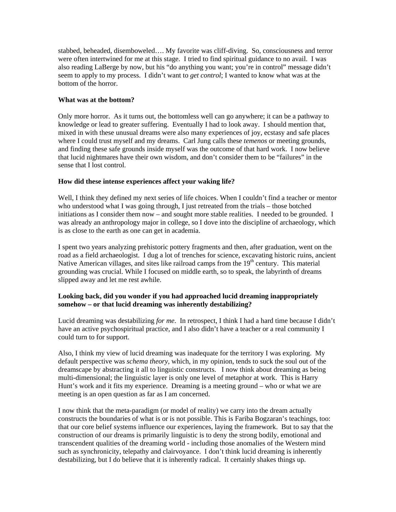stabbed, beheaded, disemboweled…. My favorite was cliff-diving. So, consciousness and terror were often intertwined for me at this stage. I tried to find spiritual guidance to no avail. I was also reading LaBerge by now, but his "do anything you want; you're in control" message didn't seem to apply to my process. I didn't want to *get control*; I wanted to know what was at the bottom of the horror.

## **What was at the bottom?**

Only more horror. As it turns out, the bottomless well can go anywhere; it can be a pathway to knowledge or lead to greater suffering. Eventually I had to look away. I should mention that, mixed in with these unusual dreams were also many experiences of joy, ecstasy and safe places where I could trust myself and my dreams. Carl Jung calls these *temenos* or meeting grounds, and finding these safe grounds inside myself was the outcome of that hard work. I now believe that lucid nightmares have their own wisdom, and don't consider them to be "failures" in the sense that I lost control.

# **How did these intense experiences affect your waking life?**

Well, I think they defined my next series of life choices. When I couldn't find a teacher or mentor who understood what I was going through, I just retreated from the trials – those botched initiations as I consider them now – and sought more stable realities. I needed to be grounded. I was already an anthropology major in college, so I dove into the discipline of archaeology, which is as close to the earth as one can get in academia.

I spent two years analyzing prehistoric pottery fragments and then, after graduation, went on the road as a field archaeologist. I dug a lot of trenches for science, excavating historic ruins, ancient Native American villages, and sites like railroad camps from the  $19<sup>th</sup>$  century. This material grounding was crucial. While I focused on middle earth, so to speak, the labyrinth of dreams slipped away and let me rest awhile.

## **Looking back, did you wonder if you had approached lucid dreaming inappropriately somehow – or that lucid dreaming was inherently destabilizing?**

Lucid dreaming was destabilizing *for me*. In retrospect, I think I had a hard time because I didn't have an active psychospiritual practice, and I also didn't have a teacher or a real community I could turn to for support.

Also, I think my view of lucid dreaming was inadequate for the territory I was exploring. My default perspective was *schema theory*, which, in my opinion, tends to suck the soul out of the dreamscape by abstracting it all to linguistic constructs. I now think about dreaming as being multi-dimensional; the linguistic layer is only one level of metaphor at work. This is Harry Hunt's work and it fits my experience. Dreaming is a meeting ground – who or what we are meeting is an open question as far as I am concerned.

I now think that the meta-paradigm (or model of reality) we carry into the dream actually constructs the boundaries of what is or is not possible. This is Fariba Bogzaran's teachings, too: that our core belief systems influence our experiences, laying the framework. But to say that the construction of our dreams is primarily linguistic is to deny the strong bodily, emotional and transcendent qualities of the dreaming world - including those anomalies of the Western mind such as synchronicity, telepathy and clairvoyance. I don't think lucid dreaming is inherently destabilizing, but I do believe that it is inherently radical. It certainly shakes things up.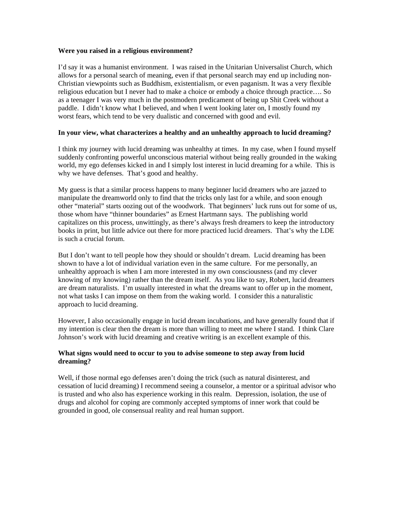#### **Were you raised in a religious environment?**

I'd say it was a humanist environment. I was raised in the Unitarian Universalist Church, which allows for a personal search of meaning, even if that personal search may end up including non-Christian viewpoints such as Buddhism, existentialism, or even paganism. It was a very flexible religious education but I never had to make a choice or embody a choice through practice…. So as a teenager I was very much in the postmodern predicament of being up Shit Creek without a paddle. I didn't know what I believed, and when I went looking later on, I mostly found my worst fears, which tend to be very dualistic and concerned with good and evil.

## **In your view, what characterizes a healthy and an unhealthy approach to lucid dreaming?**

I think my journey with lucid dreaming was unhealthy at times. In my case, when I found myself suddenly confronting powerful unconscious material without being really grounded in the waking world, my ego defenses kicked in and I simply lost interest in lucid dreaming for a while. This is why we have defenses. That's good and healthy.

My guess is that a similar process happens to many beginner lucid dreamers who are jazzed to manipulate the dreamworld only to find that the tricks only last for a while, and soon enough other "material" starts oozing out of the woodwork. That beginners' luck runs out for some of us, those whom have "thinner boundaries" as Ernest Hartmann says. The publishing world capitalizes on this process, unwittingly, as there's always fresh dreamers to keep the introductory books in print, but little advice out there for more practiced lucid dreamers. That's why the LDE is such a crucial forum.

But I don't want to tell people how they should or shouldn't dream. Lucid dreaming has been shown to have a lot of individual variation even in the same culture. For me personally, an unhealthy approach is when I am more interested in my own consciousness (and my clever knowing of my knowing) rather than the dream itself. As you like to say, Robert, lucid dreamers are dream naturalists. I'm usually interested in what the dreams want to offer up in the moment, not what tasks I can impose on them from the waking world. I consider this a naturalistic approach to lucid dreaming.

However, I also occasionally engage in lucid dream incubations, and have generally found that if my intention is clear then the dream is more than willing to meet me where I stand. I think Clare Johnson's work with lucid dreaming and creative writing is an excellent example of this.

## **What signs would need to occur to you to advise someone to step away from lucid dreaming?**

Well, if those normal ego defenses aren't doing the trick (such as natural disinterest, and cessation of lucid dreaming) I recommend seeing a counselor, a mentor or a spiritual advisor who is trusted and who also has experience working in this realm. Depression, isolation, the use of drugs and alcohol for coping are commonly accepted symptoms of inner work that could be grounded in good, ole consensual reality and real human support.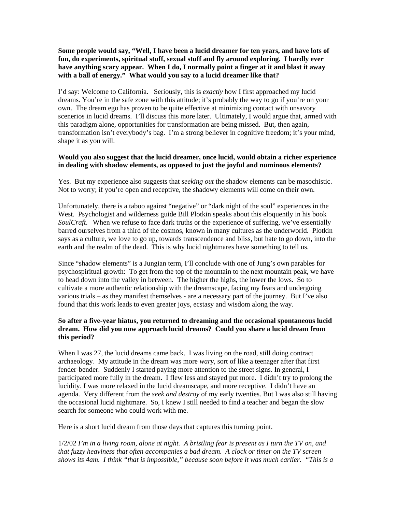# **Some people would say, "Well, I have been a lucid dreamer for ten years, and have lots of fun, do experiments, spiritual stuff, sexual stuff and fly around exploring. I hardly ever have anything scary appear. When I do, I normally point a finger at it and blast it away with a ball of energy." What would you say to a lucid dreamer like that?**

I'd say: Welcome to California. Seriously, this is *exactly* how I first approached my lucid dreams. You're in the safe zone with this attitude; it's probably the way to go if you're on your own. The dream ego has proven to be quite effective at minimizing contact with unsavory scenerios in lucid dreams. I'll discuss this more later. Ultimately, I would argue that, armed with this paradigm alone, opportunities for transformation are being missed. But, then again, transformation isn't everybody's bag. I'm a strong believer in cognitive freedom; it's your mind, shape it as you will.

# **Would you also suggest that the lucid dreamer, once lucid, would obtain a richer experience in dealing with shadow elements, as opposed to just the joyful and numinous elements?**

Yes. But my experience also suggests that *seeking out* the shadow elements can be masochistic. Not to worry; if you're open and receptive, the shadowy elements will come on their own.

Unfortunately, there is a taboo against "negative" or "dark night of the soul" experiences in the West. Psychologist and wilderness guide Bill Plotkin speaks about this eloquently in his book *SoulCraft*. When we refuse to face dark truths or the experience of suffering, we've essentially barred ourselves from a third of the cosmos, known in many cultures as the underworld. Plotkin says as a culture, we love to go up, towards transcendence and bliss, but hate to go down, into the earth and the realm of the dead. This is why lucid nightmares have something to tell us.

Since "shadow elements" is a Jungian term, I'll conclude with one of Jung's own parables for psychospiritual growth: To get from the top of the mountain to the next mountain peak, we have to head down into the valley in between. The higher the highs, the lower the lows. So to cultivate a more authentic relationship with the dreamscape, facing my fears and undergoing various trials – as they manifest themselves - are a necessary part of the journey. But I've also found that this work leads to even greater joys, ecstasy and wisdom along the way.

# **So after a five-year hiatus, you returned to dreaming and the occasional spontaneous lucid dream. How did you now approach lucid dreams? Could you share a lucid dream from this period?**

When I was 27, the lucid dreams came back. I was living on the road, still doing contract archaeology. My attitude in the dream was more *wary*, sort of like a teenager after that first fender-bender. Suddenly I started paying more attention to the street signs. In general, I participated more fully in the dream. I flew less and stayed put more. I didn't try to prolong the lucidity. I was more relaxed in the lucid dreamscape, and more receptive. I didn't have an agenda. Very different from the *seek and destroy* of my early twenties. But I was also still having the occasional lucid nightmare. So, I knew I still needed to find a teacher and began the slow search for someone who could work with me.

Here is a short lucid dream from those days that captures this turning point.

1/2/02 *I'm in a living room, alone at night. A bristling fear is present as I turn the TV on, and that fuzzy heaviness that often accompanies a bad dream. A clock or timer on the TV screen shows its 4am. I think "that is impossible," because soon before it was much earlier. "This is a*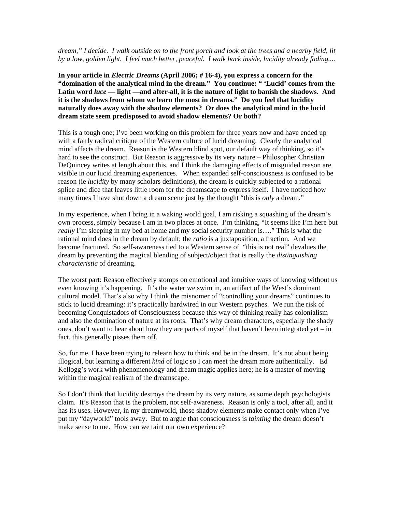## *dream," I decide. I walk outside on to the front porch and look at the trees and a nearby field, lit by a low, golden light. I feel much better, peaceful. I walk back inside, lucidity already fading....*

**In your article in** *Electric Dreams* **(April 2006; # 16-4), you express a concern for the "domination of the analytical mind in the dream." You continue: " 'Lucid' comes from the Latin word** *luce* **— light —and after-all, it is the nature of light to banish the shadows. And it is the shadows from whom we learn the most in dreams." Do you feel that lucidity naturally does away with the shadow elements? Or does the analytical mind in the lucid dream state seem predisposed to avoid shadow elements? Or both?** 

This is a tough one; I've been working on this problem for three years now and have ended up with a fairly radical critique of the Western culture of lucid dreaming. Clearly the analytical mind affects the dream. Reason is the Western blind spot, our default way of thinking, so it's hard to see the construct. But Reason is aggressive by its very nature – Philosopher Christian DeQuincey writes at length about this, and I think the damaging effects of misguided reason are visible in our lucid dreaming experiences. When expanded self-consciousness is confused to be reason (ie *lucidity* by many scholars definitions), the dream is quickly subjected to a rational splice and dice that leaves little room for the dreamscape to express itself. I have noticed how many times I have shut down a dream scene just by the thought "this is *only* a dream."

In my experience, when I bring in a waking world goal, I am risking a squashing of the dream's own process, simply because I am in two places at once. I'm thinking, "It seems like I'm here but *really* I'm sleeping in my bed at home and my social security number is...." This is what the rational mind does in the dream by default; the *ratio* is a juxtaposition, a fraction. And we become fractured. So self-awareness tied to a Western sense of "this is not real" devalues the dream by preventing the magical blending of subject/object that is really the *distinguishing characteristic* of dreaming.

The worst part: Reason effectively stomps on emotional and intuitive ways of knowing without us even knowing it's happening. It's the water we swim in, an artifact of the West's dominant cultural model. That's also why I think the misnomer of "controlling your dreams" continues to stick to lucid dreaming: it's practically hardwired in our Western psyches. We run the risk of becoming Conquistadors of Consciousness because this way of thinking really has colonialism and also the domination of nature at its roots. That's why dream characters, especially the shady ones, don't want to hear about how they are parts of myself that haven't been integrated yet – in fact, this generally pisses them off.

So, for me, I have been trying to relearn how to think and be in the dream. It's not about being illogical, but learning a different *kind* of logic so I can meet the dream more authentically. Ed Kellogg's work with phenomenology and dream magic applies here; he is a master of moving within the magical realism of the dreamscape.

So I don't think that lucidity destroys the dream by its very nature, as some depth psychologists claim. It's Reason that is the problem, not self-awareness. Reason is only a tool, after all, and it has its uses. However, in my dreamworld, those shadow elements make contact only when I've put my "dayworld" tools away. But to argue that consciousness is *tainting* the dream doesn't make sense to me. How can we taint our own experience?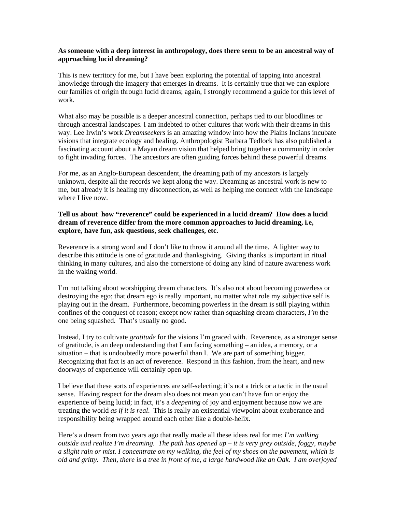#### **As someone with a deep interest in anthropology, does there seem to be an ancestral way of approaching lucid dreaming?**

This is new territory for me, but I have been exploring the potential of tapping into ancestral knowledge through the imagery that emerges in dreams. It is certainly true that we can explore our families of origin through lucid dreams; again, I strongly recommend a guide for this level of work.

What also may be possible is a deeper ancestral connection, perhaps tied to our bloodlines or through ancestral landscapes. I am indebted to other cultures that work with their dreams in this way. Lee Irwin's work *Dreamseekers* is an amazing window into how the Plains Indians incubate visions that integrate ecology and healing. Anthropologist Barbara Tedlock has also published a fascinating account about a Mayan dream vision that helped bring together a community in order to fight invading forces. The ancestors are often guiding forces behind these powerful dreams.

For me, as an Anglo-European descendent, the dreaming path of my ancestors is largely unknown, despite all the records we kept along the way. Dreaming as ancestral work is new to me, but already it is healing my disconnection, as well as helping me connect with the landscape where I live now.

# **Tell us about how "reverence" could be experienced in a lucid dream? How does a lucid dream of reverence differ from the more common approaches to lucid dreaming, i.e, explore, have fun, ask questions, seek challenges, etc.**

Reverence is a strong word and I don't like to throw it around all the time. A lighter way to describe this attitude is one of gratitude and thanksgiving. Giving thanks is important in ritual thinking in many cultures, and also the cornerstone of doing any kind of nature awareness work in the waking world.

I'm not talking about worshipping dream characters. It's also not about becoming powerless or destroying the ego; that dream ego is really important, no matter what role my subjective self is playing out in the dream. Furthermore, becoming powerless in the dream is still playing within confines of the conquest of reason; except now rather than squashing dream characters, *I'm* the one being squashed. That's usually no good.

Instead, I try to cultivate *gratitude* for the visions I'm graced with. Reverence, as a stronger sense of gratitude, is an deep understanding that I am facing something – an idea, a memory, or a situation – that is undoubtedly more powerful than I. We are part of something bigger. Recognizing that fact is an act of reverence. Respond in this fashion, from the heart, and new doorways of experience will certainly open up.

I believe that these sorts of experiences are self-selecting; it's not a trick or a tactic in the usual sense. Having respect for the dream also does not mean you can't have fun or enjoy the experience of being lucid; in fact, it's a *deepening* of joy and enjoyment because now we are treating the world *as if it is real*. This is really an existential viewpoint about exuberance and responsibility being wrapped around each other like a double-helix.

Here's a dream from two years ago that really made all these ideas real for me: *I'm walking outside and realize I'm dreaming. The path has opened up – it is very grey outside, foggy, maybe a slight rain or mist. I concentrate on my walking, the feel of my shoes on the pavement, which is old and gritty. Then, there is a tree in front of me, a large hardwood like an Oak. I am overjoyed*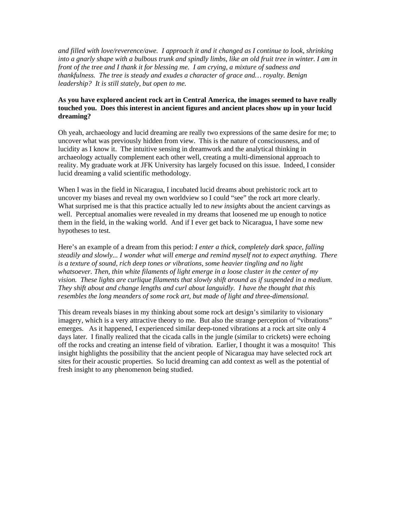*and filled with love/reverence/awe. I approach it and it changed as I continue to look, shrinking into a gnarly shape with a bulbous trunk and spindly limbs, like an old fruit tree in winter. I am in front of the tree and I thank it for blessing me. I am crying, a mixture of sadness and thankfulness. The tree is steady and exudes a character of grace and… royalty. Benign leadership? It is still stately, but open to me.* 

# **As you have explored ancient rock art in Central America, the images seemed to have really touched you. Does this interest in ancient figures and ancient places show up in your lucid dreaming?**

Oh yeah, archaeology and lucid dreaming are really two expressions of the same desire for me; to uncover what was previously hidden from view. This is the nature of consciousness, and of lucidity as I know it. The intuitive sensing in dreamwork and the analytical thinking in archaeology actually complement each other well, creating a multi-dimensional approach to reality. My graduate work at JFK University has largely focused on this issue. Indeed, I consider lucid dreaming a valid scientific methodology.

When I was in the field in Nicaragua, I incubated lucid dreams about prehistoric rock art to uncover my biases and reveal my own worldview so I could "see" the rock art more clearly. What surprised me is that this practice actually led to *new insights* about the ancient carvings as well. Perceptual anomalies were revealed in my dreams that loosened me up enough to notice them in the field, in the waking world. And if I ever get back to Nicaragua, I have some new hypotheses to test.

Here's an example of a dream from this period: *I enter a thick, completely dark space, falling steadily and slowly... I wonder what will emerge and remind myself not to expect anything. There is a texture of sound, rich deep tones or vibrations, some heavier tingling and no light whatsoever. Then, thin white filaments of light emerge in a loose cluster in the center of my vision. These lights are curlique filaments that slowly shift around as if suspended in a medium. They shift about and change lengths and curl about languidly. I have the thought that this resembles the long meanders of some rock art, but made of light and three-dimensional.* 

This dream reveals biases in my thinking about some rock art design's similarity to visionary imagery, which is a very attractive theory to me. But also the strange perception of "vibrations" emerges. As it happened, I experienced similar deep-toned vibrations at a rock art site only 4 days later. I finally realized that the cicada calls in the jungle (similar to crickets) were echoing off the rocks and creating an intense field of vibration. Earlier, I thought it was a mosquito! This insight highlights the possibility that the ancient people of Nicaragua may have selected rock art sites for their acoustic properties. So lucid dreaming can add context as well as the potential of fresh insight to any phenomenon being studied.